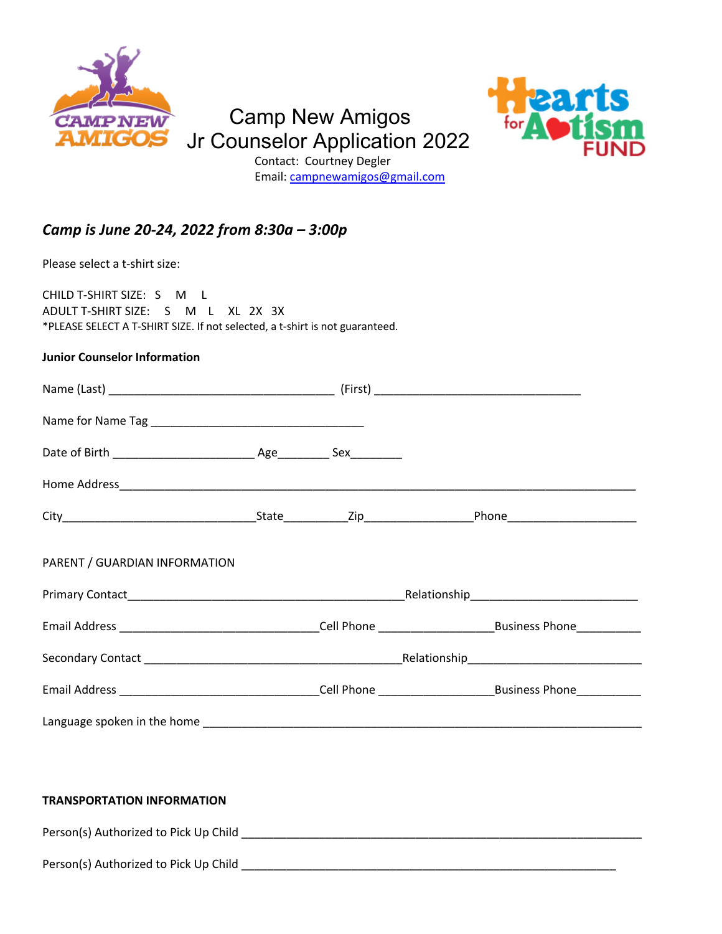

# Camp New Amigos Jr Counselor Application 2022 Contact: Courtney Degler



Email: [campnewamigos@gmail.com](mailto:campnewamigos@gmail.com)

### *Camp is June 20-24, 2022 from 8:30a – 3:00p*

Please select a t-shirt size:

CHILD T-SHIRT SIZE: S M L ADULT T-SHIRT SIZE: S M L XL 2X 3X \*PLEASE SELECT A T-SHIRT SIZE. If not selected, a t-shirt is not guaranteed.

#### **Junior Counselor Information**

| PARENT / GUARDIAN INFORMATION |  |  |
|-------------------------------|--|--|
|                               |  |  |
|                               |  |  |
|                               |  |  |
|                               |  |  |
|                               |  |  |

#### **TRANSPORTATION INFORMATION**

Person(s) Authorized to Pick Up Child \_\_\_\_\_\_\_\_\_\_\_\_\_\_\_\_\_\_\_\_\_\_\_\_\_\_\_\_\_\_\_\_\_\_\_\_\_\_\_\_\_\_\_\_\_\_\_\_\_\_\_\_\_\_\_\_\_\_\_\_\_\_

Person(s) Authorized to Pick Up Child **Example 20** Figure 20 and 20 Figure 20 and 20 Figure 20 and 20 Figure 20 Figure 20 and 20 Figure 20 Figure 20 and 20 Figure 20 and 20 Figure 20 and 20 Figure 20 and 20 Figure 20 and 2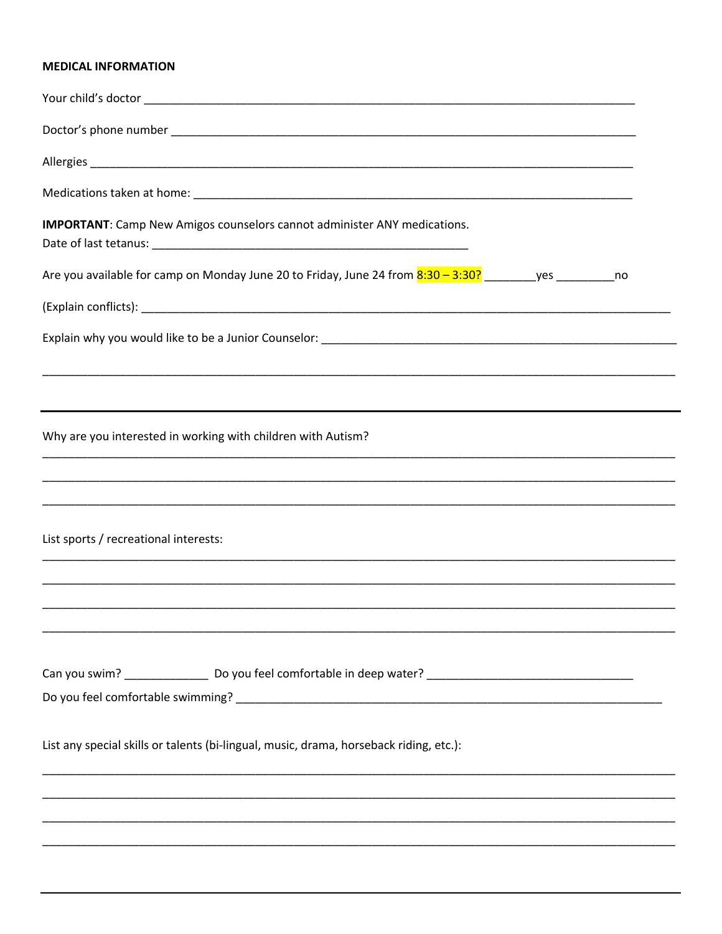#### **MEDICAL INFORMATION**

| <b>IMPORTANT:</b> Camp New Amigos counselors cannot administer ANY medications.                                    |
|--------------------------------------------------------------------------------------------------------------------|
| Are you available for camp on Monday June 20 to Friday, June 24 from <b>8:30 - 3:30?</b> ________yes ___________no |
|                                                                                                                    |
|                                                                                                                    |
|                                                                                                                    |
| Why are you interested in working with children with Autism?                                                       |
|                                                                                                                    |
| List sports / recreational interests:                                                                              |
|                                                                                                                    |
|                                                                                                                    |
| List any special skills or talents (bi-lingual, music, drama, horseback riding, etc.):                             |
|                                                                                                                    |
|                                                                                                                    |
|                                                                                                                    |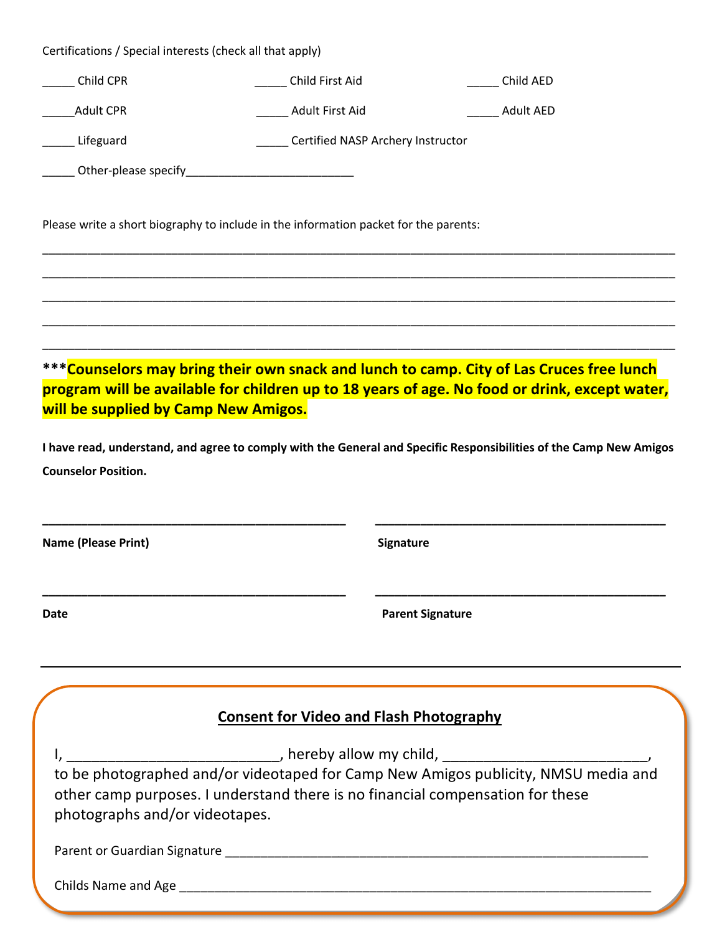| Child CPR                                      |                                                                                      |                                                                                                                                                                                           |  |  |  |
|------------------------------------------------|--------------------------------------------------------------------------------------|-------------------------------------------------------------------------------------------------------------------------------------------------------------------------------------------|--|--|--|
|                                                | Child First Aid                                                                      | Child AED                                                                                                                                                                                 |  |  |  |
| <b>Adult CPR</b>                               | Adult First Aid                                                                      | <b>Adult AED</b>                                                                                                                                                                          |  |  |  |
| Certified NASP Archery Instructor<br>Lifeguard |                                                                                      |                                                                                                                                                                                           |  |  |  |
|                                                |                                                                                      |                                                                                                                                                                                           |  |  |  |
|                                                | Please write a short biography to include in the information packet for the parents: |                                                                                                                                                                                           |  |  |  |
|                                                |                                                                                      |                                                                                                                                                                                           |  |  |  |
| will be supplied by Camp New Amigos.           |                                                                                      | ***Counselors may bring their own snack and lunch to camp. City of Las Cruces free lunch<br>program will be available for children up to 18 years of age. No food or drink, except water, |  |  |  |
|                                                |                                                                                      |                                                                                                                                                                                           |  |  |  |
| <b>Counselor Position.</b>                     |                                                                                      | I have read, understand, and agree to comply with the General and Specific Responsibilities of the Camp New Amigos                                                                        |  |  |  |
|                                                |                                                                                      |                                                                                                                                                                                           |  |  |  |
|                                                |                                                                                      |                                                                                                                                                                                           |  |  |  |
|                                                | Signature                                                                            |                                                                                                                                                                                           |  |  |  |
| <b>Name (Please Print)</b><br>Date             |                                                                                      | <b>Parent Signature</b>                                                                                                                                                                   |  |  |  |
|                                                |                                                                                      |                                                                                                                                                                                           |  |  |  |
|                                                | <b>Consent for Video and Flash Photography</b>                                       |                                                                                                                                                                                           |  |  |  |
|                                                |                                                                                      |                                                                                                                                                                                           |  |  |  |
| photographs and/or videotapes.                 | other camp purposes. I understand there is no financial compensation for these       | to be photographed and/or videotaped for Camp New Amigos publicity, NMSU media and                                                                                                        |  |  |  |
|                                                |                                                                                      |                                                                                                                                                                                           |  |  |  |